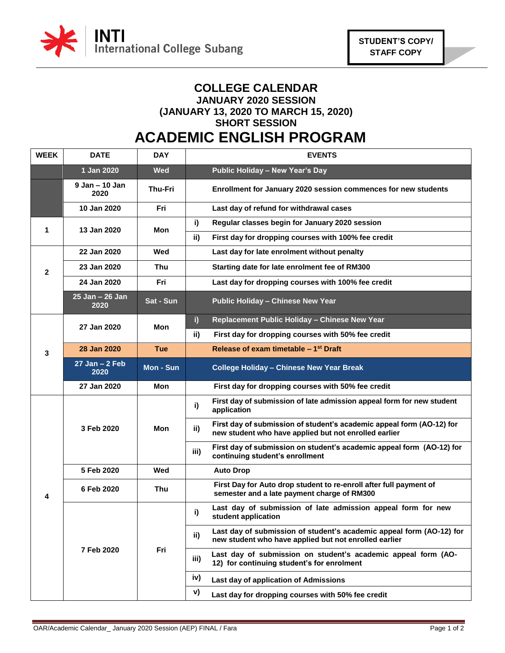

## **COLLEGE CALENDAR JANUARY 2020 SESSION (JANUARY 13, 2020 TO MARCH 15, 2020) SHORT SESSION**

## **ACADEMIC ENGLISH PROGRAM**

| <b>WEEK</b>  | <b>DATE</b>               | <b>DAY</b>       | <b>EVENTS</b>                                                                                                                         |
|--------------|---------------------------|------------------|---------------------------------------------------------------------------------------------------------------------------------------|
|              | 1 Jan 2020                | <b>Wed</b>       | Public Holiday - New Year's Day                                                                                                       |
|              | 9 Jan - 10 Jan<br>2020    | <b>Thu-Fri</b>   | Enrollment for January 2020 session commences for new students                                                                        |
|              | 10 Jan 2020               | Fri              | Last day of refund for withdrawal cases                                                                                               |
| 1            | 13 Jan 2020               | Mon              | i)<br>Regular classes begin for January 2020 session                                                                                  |
|              |                           |                  | First day for dropping courses with 100% fee credit<br>ii)                                                                            |
| $\mathbf{2}$ | 22 Jan 2020               | Wed              | Last day for late enrolment without penalty                                                                                           |
|              | 23 Jan 2020               | Thu              | Starting date for late enrolment fee of RM300                                                                                         |
|              | 24 Jan 2020               | Fri              | Last day for dropping courses with 100% fee credit                                                                                    |
|              | 25 Jan - 26 Jan<br>2020   | <b>Sat - Sun</b> | <b>Public Holiday - Chinese New Year</b>                                                                                              |
|              | 27 Jan 2020               | Mon              | Replacement Public Holiday - Chinese New Year<br>i)                                                                                   |
|              |                           |                  | First day for dropping courses with 50% fee credit<br>ii)                                                                             |
| 3            | 28 Jan 2020               | <b>Tue</b>       | Release of exam timetable - 1 <sup>st</sup> Draft                                                                                     |
|              | $27$ Jan $-2$ Feb<br>2020 | Mon - Sun        | <b>College Holiday - Chinese New Year Break</b>                                                                                       |
|              | 27 Jan 2020               | Mon              | First day for dropping courses with 50% fee credit                                                                                    |
| 4            | 3 Feb 2020                | Mon              | First day of submission of late admission appeal form for new student<br>i)<br>application                                            |
|              |                           |                  | First day of submission of student's academic appeal form (AO-12) for<br>ii)<br>new student who have applied but not enrolled earlier |
|              |                           |                  | First day of submission on student's academic appeal form (AO-12) for<br>iii)<br>continuing student's enrollment                      |
|              | 5 Feb 2020                | Wed              | <b>Auto Drop</b>                                                                                                                      |
|              | 6 Feb 2020                | Thu              | First Day for Auto drop student to re-enroll after full payment of<br>semester and a late payment charge of RM300                     |
|              | 7 Feb 2020                | Fri              | Last day of submission of late admission appeal form for new<br>i)<br>student application                                             |
|              |                           |                  | Last day of submission of student's academic appeal form (AO-12) for<br>ii)<br>new student who have applied but not enrolled earlier  |
|              |                           |                  | Last day of submission on student's academic appeal form (AO-<br>iii)<br>12) for continuing student's for enrolment                   |
|              |                           |                  | iv)<br>Last day of application of Admissions                                                                                          |
|              |                           |                  | V)<br>Last day for dropping courses with 50% fee credit                                                                               |